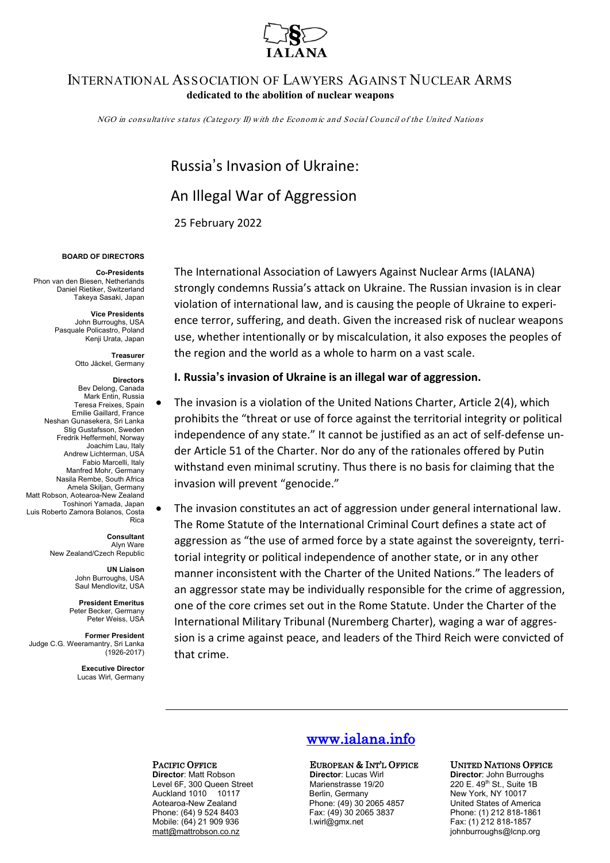

### INTERNATIONAL ASSOCIATION OF LAWYERS AGAINST NUCLEAR ARMS **dedicated to the abolition of nuclear weapons**

NGO in consultative status (Category II) with the Econom ic and Social Council of the United Nations

# Russia's Invasion of Ukraine: An Illegal War of Aggression 25 February 2022

### **BOARD OF DIRECTORS**

**Co-Presidents** Phon van den Biesen, Netherlands Daniel Rietiker, Switzerland Takeya Sasaki, Japan

> **Vice Presidents** John Burroughs, USA Pasquale Policastro, Poland Kenji Urata, Japan

> > **Treasurer**  Otto Jäckel, Germany

### **Directors**

Bev Delong, Canada Mark Entin, Russia Teresa Freixes, Spain Emilie Gaillard, France Neshan Gunasekera, Sri Lanka Stig Gustafsson, Sweden Fredrik Heffermehl, Norway Joachim Lau, Italy Andrew Lichterman, USA Fabio Marcelli, Italy Manfred Mohr, Germany Nasila Rembe, South Africa Amela Skiljan, Germany Matt Robson, Aotearoa-New Zealand Toshinori Yamada, Japan Luis Roberto Zamora Bolanos, Costa Rica

**Consultant** Alyn Ware New Zealand/Czech Republic

> **UN Liaison**  John Burroughs, USA

Saul Mendlovitz, USA **President Emeritus**

Peter Becker, Germany Peter Weiss, USA **Former President**

Judge C.G. Weeramantry, Sri Lanka (1926-2017)

> **Executive Director** Lucas Wirl, Germany

The International Association of Lawyers Against Nuclear Arms (IALANA) strongly condemns Russia's attack on Ukraine. The Russian invasion is in clear violation of international law, and is causing the people of Ukraine to experience terror, suffering, and death. Given the increased risk of nuclear weapons use, whether intentionally or by miscalculation, it also exposes the peoples of the region and the world as a whole to harm on a vast scale.

### **I. Russia's invasion of Ukraine is an illegal war of aggression.**

- The invasion is a violation of the United Nations Charter, Article 2(4), which prohibits the "threat or use of force against the territorial integrity or political independence of any state." It cannot be justified as an act of self-defense under Article 51 of the Charter. Nor do any of the rationales offered by Putin withstand even minimal scrutiny. Thus there is no basis for claiming that the invasion will prevent "genocide."
- The invasion constitutes an act of aggression under general international law. The Rome Statute of the International Criminal Court defines a state act of aggression as "the use of armed force by a state against the sovereignty, territorial integrity or political independence of another state, or in any other manner inconsistent with the Charter of the United Nations." The leaders of an aggressor state may be individually responsible for the crime of aggression, one of the core crimes set out in the Rome Statute. Under the Charter of the International Military Tribunal (Nuremberg Charter), waging a war of aggression is a crime against peace, and leaders of the Third Reich were convicted of that crime.

**Director**: Matt Robson **Director**: Lucas Wirl **Director**: **Director**: John Burroughs<br>
Level 6F. 300 Queen Street Marienstrasse 19/20 220 E. 49<sup>th</sup> St., Suite 1 Level 6F, 300 Queen StreetMarienstrasse 19/20 220 E. 49th St., Suite 1B Auckland 1010 10117 Berlin, Germany New York, NY 10017 Aotearoa-New Zealand Phone: (49) 30 2065 4857<br>Phone: (64) 9 524 8403 Fax: (49) 30 2065 3837 Mobile: (64) 21 909 936 [matt@mattrobson.co.nz](mailto:matt@mattrobson.co.nz) johnburroughs@lcnp.org

## [www.ialana.info](http://www.ialana.info/)

## **PACIFIC OFFICE**<br>**PACIFIC OFFICE**<br>**Director Lucas** Wirl **Director Lucas** Wirl **Director** John Burroughs

Fax: (49) 30 2065 3837 Phone: (1) 212 818-1861<br>
I.wirl@gmx.net Fax: (1) 212 818-1857